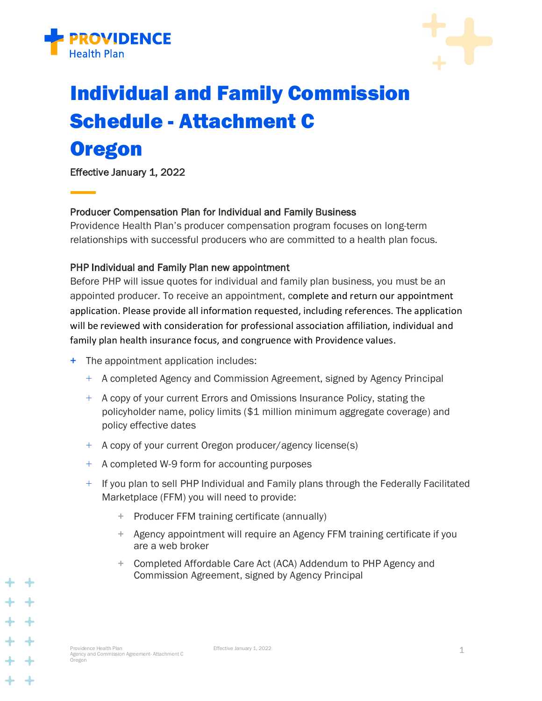



# Individual and Family Commission Schedule - Attachment C

# **Oregon**

Effective January 1, 2022

## Producer Compensation Plan for Individual and Family Business

Providence Health Plan's producer compensation program focuses on long-term relationships with successful producers who are committed to a health plan focus.

## PHP Individual and Family Plan new appointment

Before PHP will issue quotes for individual and family plan business, you must be an appointed producer. To receive an appointment, complete and return our appointment application. Please provide all information requested, including references. The application will be reviewed with consideration for professional association affiliation, individual and family plan health insurance focus, and congruence with Providence values.

- + The appointment application includes:
	- + A completed Agency and Commission Agreement, signed by Agency Principal
	- + A copy of your current Errors and Omissions Insurance Policy, stating the policyholder name, policy limits (\$1 million minimum aggregate coverage) and policy effective dates
	- + A copy of your current Oregon producer/agency license(s)
	- + A completed W-9 form for accounting purposes
	- $+$  If you plan to sell PHP Individual and Family plans through the Federally Facilitated Marketplace (FFM) you will need to provide:
		- + Producer FFM training certificate (annually)
		- + Agency appointment will require an Agency FFM training certificate if you are a web broker
		- + Completed Affordable Care Act (ACA) Addendum to PHP Agency and Commission Agreement, signed by Agency Principal

+ +